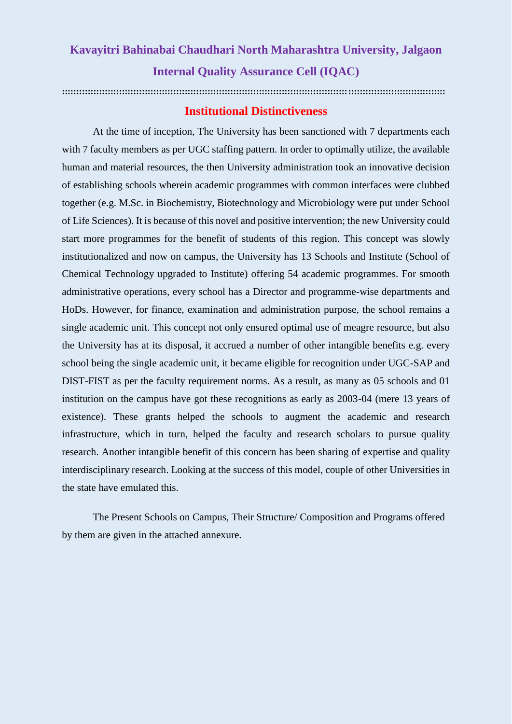## **Kavayitri Bahinabai Chaudhari North Maharashtra University, Jalgaon Internal Quality Assurance Cell (IQAC)**

**::::::::::::::::::::::::::::::::::::::::::::::::::::::::::::::::::::::::::::::::::::::::::::::::::::::::::::::::::::::::::::::::::::::**

## **Institutional Distinctiveness**

At the time of inception, The University has been sanctioned with 7 departments each with 7 faculty members as per UGC staffing pattern. In order to optimally utilize, the available human and material resources, the then University administration took an innovative decision of establishing schools wherein academic programmes with common interfaces were clubbed together (e.g. M.Sc. in Biochemistry, Biotechnology and Microbiology were put under School of Life Sciences). It is because of this novel and positive intervention; the new University could start more programmes for the benefit of students of this region. This concept was slowly institutionalized and now on campus, the University has 13 Schools and Institute (School of Chemical Technology upgraded to Institute) offering 54 academic programmes. For smooth administrative operations, every school has a Director and programme-wise departments and HoDs. However, for finance, examination and administration purpose, the school remains a single academic unit. This concept not only ensured optimal use of meagre resource, but also the University has at its disposal, it accrued a number of other intangible benefits e.g. every school being the single academic unit, it became eligible for recognition under UGC-SAP and DIST-FIST as per the faculty requirement norms. As a result, as many as 05 schools and 01 institution on the campus have got these recognitions as early as 2003-04 (mere 13 years of existence). These grants helped the schools to augment the academic and research infrastructure, which in turn, helped the faculty and research scholars to pursue quality research. Another intangible benefit of this concern has been sharing of expertise and quality interdisciplinary research. Looking at the success of this model, couple of other Universities in the state have emulated this.

The Present Schools on Campus, Their Structure/ Composition and Programs offered by them are given in the attached annexure.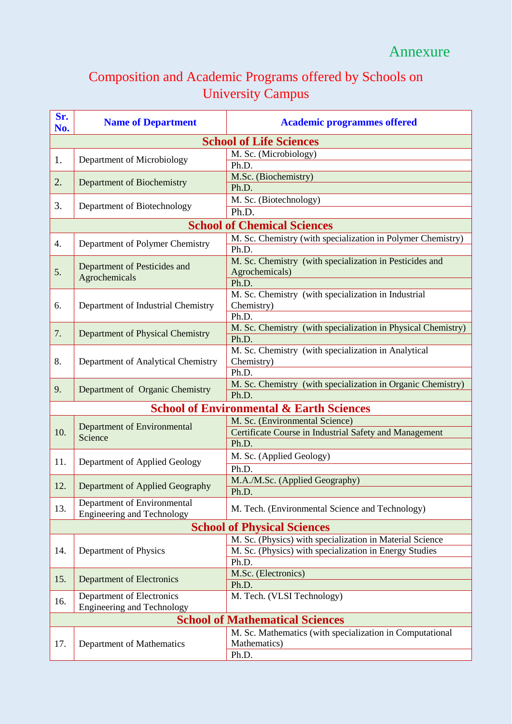## Composition and Academic Programs offered by Schools on University Campus

| Sr.<br>No.                     | <b>Name of Department</b>                                        | <b>Academic programmes offered</b>                                                             |  |  |  |  |  |
|--------------------------------|------------------------------------------------------------------|------------------------------------------------------------------------------------------------|--|--|--|--|--|
| <b>School of Life Sciences</b> |                                                                  |                                                                                                |  |  |  |  |  |
| 1.                             |                                                                  | M. Sc. (Microbiology)                                                                          |  |  |  |  |  |
|                                | Department of Microbiology                                       | Ph.D.                                                                                          |  |  |  |  |  |
| 2.                             | Department of Biochemistry                                       | M.Sc. (Biochemistry)                                                                           |  |  |  |  |  |
|                                |                                                                  | Ph.D.                                                                                          |  |  |  |  |  |
| 3.                             | Department of Biotechnology                                      | M. Sc. (Biotechnology)                                                                         |  |  |  |  |  |
|                                |                                                                  | Ph.D.                                                                                          |  |  |  |  |  |
|                                |                                                                  | <b>School of Chemical Sciences</b>                                                             |  |  |  |  |  |
| 4.                             | Department of Polymer Chemistry                                  | M. Sc. Chemistry (with specialization in Polymer Chemistry)                                    |  |  |  |  |  |
|                                |                                                                  | Ph.D.                                                                                          |  |  |  |  |  |
| 5.                             | Department of Pesticides and<br>Agrochemicals                    | M. Sc. Chemistry (with specialization in Pesticides and                                        |  |  |  |  |  |
|                                |                                                                  | Agrochemicals)<br>Ph.D.                                                                        |  |  |  |  |  |
|                                |                                                                  | M. Sc. Chemistry (with specialization in Industrial                                            |  |  |  |  |  |
| 6.                             | Department of Industrial Chemistry                               | Chemistry)                                                                                     |  |  |  |  |  |
|                                |                                                                  | Ph.D.                                                                                          |  |  |  |  |  |
|                                |                                                                  | M. Sc. Chemistry (with specialization in Physical Chemistry)                                   |  |  |  |  |  |
| 7.                             | Department of Physical Chemistry                                 | Ph.D.                                                                                          |  |  |  |  |  |
|                                |                                                                  | M. Sc. Chemistry (with specialization in Analytical                                            |  |  |  |  |  |
| 8.                             | Department of Analytical Chemistry                               | Chemistry)                                                                                     |  |  |  |  |  |
|                                |                                                                  | Ph.D.                                                                                          |  |  |  |  |  |
| 9.                             | Department of Organic Chemistry                                  | M. Sc. Chemistry (with specialization in Organic Chemistry)                                    |  |  |  |  |  |
|                                |                                                                  | Ph.D.                                                                                          |  |  |  |  |  |
|                                |                                                                  | <b>School of Environmental &amp; Earth Sciences</b>                                            |  |  |  |  |  |
|                                | <b>Department of Environmental</b><br>Science                    | M. Sc. (Environmental Science)                                                                 |  |  |  |  |  |
| 10.                            |                                                                  | Certificate Course in Industrial Safety and Management                                         |  |  |  |  |  |
|                                |                                                                  | Ph.D.                                                                                          |  |  |  |  |  |
| 11.                            | Department of Applied Geology                                    | M. Sc. (Applied Geology)                                                                       |  |  |  |  |  |
|                                |                                                                  | Ph.D.                                                                                          |  |  |  |  |  |
| 12.                            | Department of Applied Geography                                  | M.A./M.Sc. (Applied Geography)                                                                 |  |  |  |  |  |
|                                |                                                                  | Ph.D.                                                                                          |  |  |  |  |  |
| 13.                            | Department of Environmental<br><b>Engineering and Technology</b> | M. Tech. (Environmental Science and Technology)                                                |  |  |  |  |  |
|                                |                                                                  |                                                                                                |  |  |  |  |  |
|                                |                                                                  | <b>School of Physical Sciences</b><br>M. Sc. (Physics) with specialization in Material Science |  |  |  |  |  |
| 14.                            |                                                                  | M. Sc. (Physics) with specialization in Energy Studies                                         |  |  |  |  |  |
|                                | Department of Physics                                            | Ph.D.                                                                                          |  |  |  |  |  |
|                                | Department of Electronics                                        | M.Sc. (Electronics)                                                                            |  |  |  |  |  |
| 15.                            |                                                                  | Ph.D.                                                                                          |  |  |  |  |  |
|                                | Department of Electronics                                        | M. Tech. (VLSI Technology)                                                                     |  |  |  |  |  |
| 16.                            | <b>Engineering and Technology</b>                                |                                                                                                |  |  |  |  |  |
|                                | <b>School of Mathematical Sciences</b>                           |                                                                                                |  |  |  |  |  |
|                                |                                                                  | M. Sc. Mathematics (with specialization in Computational                                       |  |  |  |  |  |
| 17.                            | Department of Mathematics                                        | Mathematics)                                                                                   |  |  |  |  |  |
|                                |                                                                  | Ph.D.                                                                                          |  |  |  |  |  |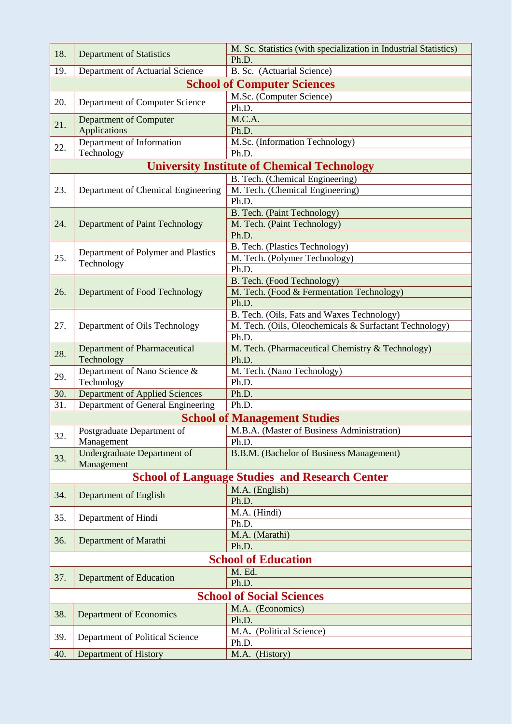| 18.                                                | M. Sc. Statistics (with specialization in Industrial Statistics)<br><b>Department of Statistics</b> |                                                        |  |  |  |  |  |
|----------------------------------------------------|-----------------------------------------------------------------------------------------------------|--------------------------------------------------------|--|--|--|--|--|
|                                                    | Ph.D.                                                                                               |                                                        |  |  |  |  |  |
| 19.                                                | Department of Actuarial Science                                                                     | B. Sc. (Actuarial Science)                             |  |  |  |  |  |
|                                                    |                                                                                                     | <b>School of Computer Sciences</b>                     |  |  |  |  |  |
| 20.                                                | Department of Computer Science                                                                      | M.Sc. (Computer Science)<br>Ph.D.                      |  |  |  |  |  |
| 21.                                                | Department of Computer<br><b>Applications</b>                                                       | M.C.A.                                                 |  |  |  |  |  |
|                                                    |                                                                                                     | Ph.D.                                                  |  |  |  |  |  |
|                                                    | Department of Information                                                                           | M.Sc. (Information Technology)                         |  |  |  |  |  |
| 22.                                                | Technology                                                                                          | Ph.D.                                                  |  |  |  |  |  |
| <b>University Institute of Chemical Technology</b> |                                                                                                     |                                                        |  |  |  |  |  |
|                                                    | Department of Chemical Engineering                                                                  | B. Tech. (Chemical Engineering)                        |  |  |  |  |  |
| 23.                                                |                                                                                                     | M. Tech. (Chemical Engineering)                        |  |  |  |  |  |
|                                                    |                                                                                                     | Ph.D.                                                  |  |  |  |  |  |
|                                                    | Department of Paint Technology                                                                      | B. Tech. (Paint Technology)                            |  |  |  |  |  |
| 24.                                                |                                                                                                     | M. Tech. (Paint Technology)                            |  |  |  |  |  |
|                                                    |                                                                                                     | Ph.D.                                                  |  |  |  |  |  |
|                                                    |                                                                                                     | B. Tech. (Plastics Technology)                         |  |  |  |  |  |
| 25.                                                | Department of Polymer and Plastics                                                                  | M. Tech. (Polymer Technology)                          |  |  |  |  |  |
|                                                    | Technology                                                                                          | Ph.D.                                                  |  |  |  |  |  |
|                                                    |                                                                                                     | B. Tech. (Food Technology)                             |  |  |  |  |  |
| 26.                                                | Department of Food Technology                                                                       | M. Tech. (Food & Fermentation Technology)              |  |  |  |  |  |
|                                                    |                                                                                                     | Ph.D.                                                  |  |  |  |  |  |
|                                                    |                                                                                                     | B. Tech. (Oils, Fats and Waxes Technology)             |  |  |  |  |  |
| 27.                                                | Department of Oils Technology                                                                       | M. Tech. (Oils, Oleochemicals & Surfactant Technology) |  |  |  |  |  |
|                                                    |                                                                                                     | Ph.D.                                                  |  |  |  |  |  |
|                                                    | <b>Department of Pharmaceutical</b>                                                                 | M. Tech. (Pharmaceutical Chemistry & Technology)       |  |  |  |  |  |
| 28.                                                | Technology                                                                                          | Ph.D.                                                  |  |  |  |  |  |
|                                                    | Department of Nano Science &<br>Technology                                                          | M. Tech. (Nano Technology)                             |  |  |  |  |  |
| 29.                                                |                                                                                                     | Ph.D.                                                  |  |  |  |  |  |
| 30.                                                | <b>Department of Applied Sciences</b>                                                               | Ph.D.                                                  |  |  |  |  |  |
| 31.                                                | Department of General Engineering                                                                   | Ph.D.                                                  |  |  |  |  |  |
|                                                    |                                                                                                     | <b>School of Management Studies</b>                    |  |  |  |  |  |
| 32.                                                | Postgraduate Department of<br>Management                                                            | M.B.A. (Master of Business Administration)             |  |  |  |  |  |
|                                                    |                                                                                                     | Ph.D.                                                  |  |  |  |  |  |
| 33.                                                | <b>Undergraduate Department of</b><br>Management                                                    | B.B.M. (Bachelor of Business Management)               |  |  |  |  |  |
|                                                    |                                                                                                     | <b>School of Language Studies and Research Center</b>  |  |  |  |  |  |
|                                                    |                                                                                                     | M.A. (English)                                         |  |  |  |  |  |
| 34.                                                | <b>Department of English</b>                                                                        | Ph.D.                                                  |  |  |  |  |  |
|                                                    | Department of Hindi<br>Department of Marathi                                                        | M.A. (Hindi)                                           |  |  |  |  |  |
| 35.                                                |                                                                                                     | Ph.D.                                                  |  |  |  |  |  |
|                                                    |                                                                                                     | M.A. (Marathi)                                         |  |  |  |  |  |
| 36.                                                |                                                                                                     | Ph.D.                                                  |  |  |  |  |  |
|                                                    | <b>School of Education</b>                                                                          |                                                        |  |  |  |  |  |
|                                                    |                                                                                                     | M. Ed.                                                 |  |  |  |  |  |
| 37.                                                | Department of Education                                                                             | Ph.D.                                                  |  |  |  |  |  |
| <b>School of Social Sciences</b>                   |                                                                                                     |                                                        |  |  |  |  |  |
|                                                    |                                                                                                     | M.A. (Economics)                                       |  |  |  |  |  |
| 38.                                                | Department of Economics                                                                             | Ph.D.                                                  |  |  |  |  |  |
|                                                    |                                                                                                     | M.A. (Political Science)                               |  |  |  |  |  |
| 39.                                                | Department of Political Science                                                                     | Ph.D.                                                  |  |  |  |  |  |
| 40.                                                | <b>Department of History</b>                                                                        | M.A. (History)                                         |  |  |  |  |  |
|                                                    |                                                                                                     |                                                        |  |  |  |  |  |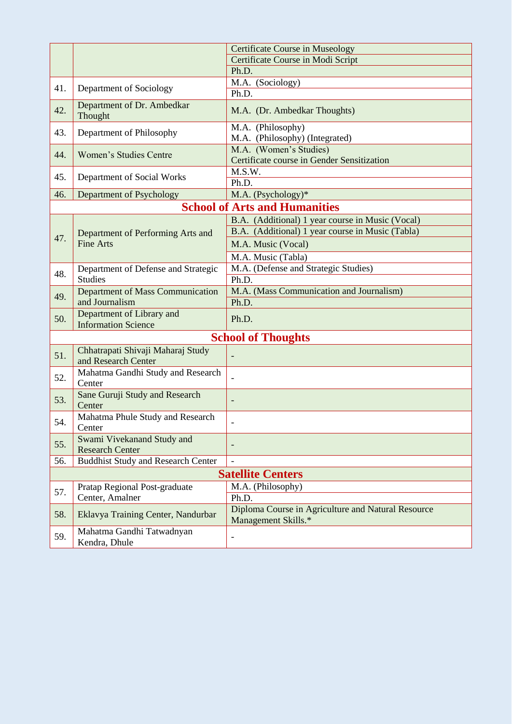|     | <b>Certificate Course in Museology</b>                   |                                                                           |  |  |
|-----|----------------------------------------------------------|---------------------------------------------------------------------------|--|--|
|     |                                                          | Certificate Course in Modi Script                                         |  |  |
|     |                                                          | Ph.D.                                                                     |  |  |
| 41. |                                                          | M.A. (Sociology)                                                          |  |  |
|     | Department of Sociology                                  | Ph.D.                                                                     |  |  |
| 42. | Department of Dr. Ambedkar<br>Thought                    | M.A. (Dr. Ambedkar Thoughts)                                              |  |  |
| 43. | Department of Philosophy                                 | M.A. (Philosophy)<br>M.A. (Philosophy) (Integrated)                       |  |  |
| 44. | <b>Women's Studies Centre</b>                            | M.A. (Women's Studies)<br>Certificate course in Gender Sensitization      |  |  |
| 45. | Department of Social Works                               | M.S.W.<br>Ph.D.                                                           |  |  |
| 46. | Department of Psychology                                 | M.A. (Psychology)*                                                        |  |  |
|     |                                                          | <b>School of Arts and Humanities</b>                                      |  |  |
|     |                                                          | B.A. (Additional) 1 year course in Music (Vocal)                          |  |  |
|     | Department of Performing Arts and                        | B.A. (Additional) 1 year course in Music (Tabla)                          |  |  |
| 47. | <b>Fine Arts</b>                                         | M.A. Music (Vocal)                                                        |  |  |
|     |                                                          | M.A. Music (Tabla)                                                        |  |  |
|     | Department of Defense and Strategic                      | M.A. (Defense and Strategic Studies)                                      |  |  |
| 48. | <b>Studies</b>                                           | Ph.D.                                                                     |  |  |
| 49. | <b>Department of Mass Communication</b>                  | M.A. (Mass Communication and Journalism)                                  |  |  |
|     | and Journalism                                           | Ph.D.                                                                     |  |  |
| 50. | Department of Library and<br><b>Information Science</b>  | Ph.D.                                                                     |  |  |
|     |                                                          | <b>School of Thoughts</b>                                                 |  |  |
| 51. | Chhatrapati Shivaji Maharaj Study<br>and Research Center |                                                                           |  |  |
| 52. | Mahatma Gandhi Study and Research<br>Center              |                                                                           |  |  |
| 53. | Sane Guruji Study and Research<br>-<br>Center            |                                                                           |  |  |
| 54. | Mahatma Phule Study and Research<br>Center               | $\overline{a}$                                                            |  |  |
| 55. | Swami Vivekanand Study and<br><b>Research Center</b>     |                                                                           |  |  |
| 56. | <b>Buddhist Study and Research Center</b>                | $\overline{a}$                                                            |  |  |
|     |                                                          | <b>Satellite Centers</b>                                                  |  |  |
| 57. | Pratap Regional Post-graduate                            | M.A. (Philosophy)                                                         |  |  |
|     | Center, Amalner                                          | Ph.D.                                                                     |  |  |
| 58. | Eklavya Training Center, Nandurbar                       | Diploma Course in Agriculture and Natural Resource<br>Management Skills.* |  |  |
| 59. | Mahatma Gandhi Tatwadnyan<br>Kendra, Dhule               | $\overline{a}$                                                            |  |  |